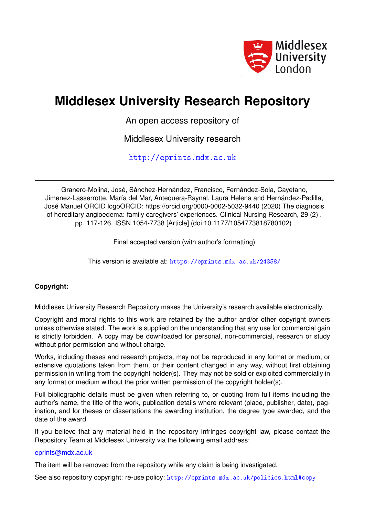

# **Middlesex University Research Repository**

An open access repository of

Middlesex University research

<http://eprints.mdx.ac.uk>

Granero-Molina, José, Sánchez-Hernández, Francisco, Fernández-Sola, Cayetano, Jimenez-Lasserrotte, María del Mar, Antequera-Raynal, Laura Helena and Hernández-Padilla, José Manuel ORCID logoORCID: https://orcid.org/0000-0002-5032-9440 (2020) The diagnosis of hereditary angioedema: family caregivers' experiences. Clinical Nursing Research, 29 (2) . pp. 117-126. ISSN 1054-7738 [Article] (doi:10.1177/1054773818780102)

Final accepted version (with author's formatting)

This version is available at: <https://eprints.mdx.ac.uk/24358/>

# **Copyright:**

Middlesex University Research Repository makes the University's research available electronically.

Copyright and moral rights to this work are retained by the author and/or other copyright owners unless otherwise stated. The work is supplied on the understanding that any use for commercial gain is strictly forbidden. A copy may be downloaded for personal, non-commercial, research or study without prior permission and without charge.

Works, including theses and research projects, may not be reproduced in any format or medium, or extensive quotations taken from them, or their content changed in any way, without first obtaining permission in writing from the copyright holder(s). They may not be sold or exploited commercially in any format or medium without the prior written permission of the copyright holder(s).

Full bibliographic details must be given when referring to, or quoting from full items including the author's name, the title of the work, publication details where relevant (place, publisher, date), pagination, and for theses or dissertations the awarding institution, the degree type awarded, and the date of the award.

If you believe that any material held in the repository infringes copyright law, please contact the Repository Team at Middlesex University via the following email address:

# [eprints@mdx.ac.uk](mailto:eprints@mdx.ac.uk)

The item will be removed from the repository while any claim is being investigated.

See also repository copyright: re-use policy: <http://eprints.mdx.ac.uk/policies.html#copy>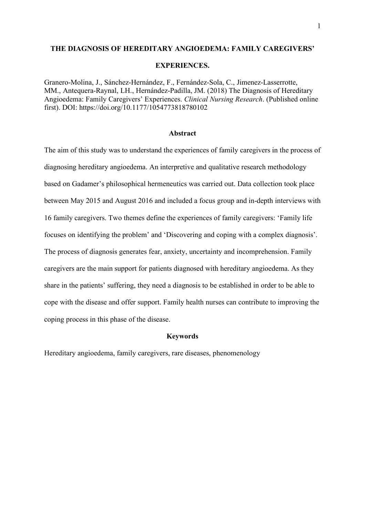### **THE DIAGNOSIS OF HEREDITARY ANGIOEDEMA: FAMILY CAREGIVERS'**

### **EXPERIENCES.**

Granero-Molina, J., Sánchez-Hernández, F., Fernández-Sola, C., Jimenez-Lasserrotte, MM., Antequera-Raynal, LH., Hernández-Padilla, JM. (2018) The Diagnosis of Hereditary Angioedema: Family Caregivers' Experiences. *Clinical Nursing Research*. (Published online first). DOI: https://doi.org/10.1177/1054773818780102

### **Abstract**

The aim of this study was to understand the experiences of family caregivers in the process of diagnosing hereditary angioedema. An interpretive and qualitative research methodology based on Gadamer's philosophical hermeneutics was carried out. Data collection took place between May 2015 and August 2016 and included a focus group and in-depth interviews with 16 family caregivers. Two themes define the experiences of family caregivers: 'Family life focuses on identifying the problem' and 'Discovering and coping with a complex diagnosis'. The process of diagnosis generates fear, anxiety, uncertainty and incomprehension. Family caregivers are the main support for patients diagnosed with hereditary angioedema. As they share in the patients' suffering, they need a diagnosis to be established in order to be able to cope with the disease and offer support. Family health nurses can contribute to improving the coping process in this phase of the disease.

### **Keywords**

Hereditary angioedema, family caregivers, rare diseases, phenomenology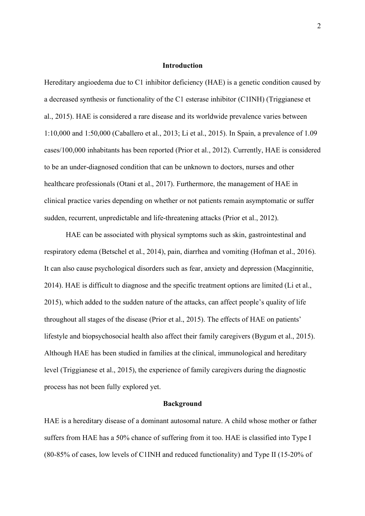### **Introduction**

Hereditary angioedema due to C1 inhibitor deficiency (HAE) is a genetic condition caused by a decreased synthesis or functionality of the C1 esterase inhibitor (C1INH) (Triggianese et al., 2015). HAE is considered a rare disease and its worldwide prevalence varies between 1:10,000 and 1:50,000 (Caballero et al., 2013; Li et al., 2015). In Spain, a prevalence of 1.09 cases/100,000 inhabitants has been reported (Prior et al., 2012). Currently, HAE is considered to be an under-diagnosed condition that can be unknown to doctors, nurses and other healthcare professionals (Otani et al., 2017). Furthermore, the management of HAE in clinical practice varies depending on whether or not patients remain asymptomatic or suffer sudden, recurrent, unpredictable and life-threatening attacks (Prior et al., 2012).

HAE can be associated with physical symptoms such as skin, gastrointestinal and respiratory edema (Betschel et al., 2014), pain, diarrhea and vomiting (Hofman et al., 2016). It can also cause psychological disorders such as fear, anxiety and depression (Macginnitie, 2014). HAE is difficult to diagnose and the specific treatment options are limited (Li et al., 2015), which added to the sudden nature of the attacks, can affect people's quality of life throughout all stages of the disease (Prior et al., 2015). The effects of HAE on patients' lifestyle and biopsychosocial health also affect their family caregivers (Bygum et al., 2015). Although HAE has been studied in families at the clinical, immunological and hereditary level (Triggianese et al., 2015), the experience of family caregivers during the diagnostic process has not been fully explored yet.

#### **Background**

HAE is a hereditary disease of a dominant autosomal nature. A child whose mother or father suffers from HAE has a 50% chance of suffering from it too. HAE is classified into Type I (80-85% of cases, low levels of C1INH and reduced functionality) and Type II (15-20% of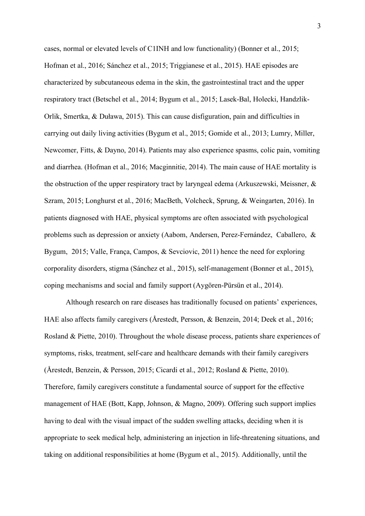cases, normal or elevated levels of C1INH and low functionality) (Bonner et al., 2015; Hofman et al., 2016; Sánchez et al., 2015; Triggianese et al., 2015). HAE episodes are characterized by subcutaneous edema in the skin, the gastrointestinal tract and the upper respiratory tract (Betschel et al., 2014; Bygum et al., 2015; Lasek-Bal, Holecki, Handzlik-Orlik, Smertka, & Duława, 2015). This can cause disfiguration, pain and difficulties in carrying out daily living activities (Bygum et al., 2015; Gomide et al., 2013; Lumry, Miller, Newcomer, Fitts, & Dayno, 2014). Patients may also experience spasms, colic pain, vomiting and diarrhea. (Hofman et al., 2016; Macginnitie, 2014). The main cause of HAE mortality is the obstruction of the upper respiratory tract by laryngeal edema (Arkuszewski, Meissner, & Szram, 2015; Longhurst et al., 2016; MacBeth, Volcheck, Sprung, & Weingarten, 2016). In patients diagnosed with HAE, physical symptoms are often associated with psychological problems such as depression or anxiety (Aabom, Andersen, Perez-Fernández, Caballero, & Bygum, 2015; Valle, França, Campos, & Sevciovic, 2011) hence the need for exploring corporality disorders, stigma (Sánchez et al., 2015), self-management (Bonner et al., 2015), coping mechanisms and social and family support (Aygören-Pürsün et al., 2014).

Although research on rare diseases has traditionally focused on patients' experiences, HAE also affects family caregivers (Årestedt, Persson, & Benzein, 2014; Deek et al., 2016; Rosland & Piette, 2010). Throughout the whole disease process, patients share experiences of symptoms, risks, treatment, self-care and healthcare demands with their family caregivers (Årestedt, Benzein, & Persson, 2015; Cicardi et al., 2012; Rosland & Piette, 2010). Therefore, family caregivers constitute a fundamental source of support for the effective management of HAE (Bott, Kapp, Johnson, & Magno, 2009). Offering such support implies having to deal with the visual impact of the sudden swelling attacks, deciding when it is appropriate to seek medical help, administering an injection in life-threatening situations, and taking on additional responsibilities at home (Bygum et al., 2015). Additionally, until the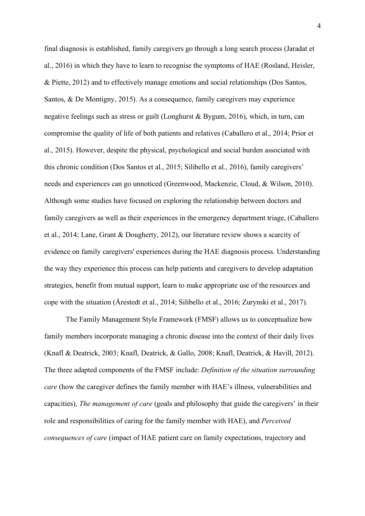final diagnosis is established, family caregivers go through a long search process (Jaradat et al., 2016) in which they have to learn to recognise the symptoms of HAE (Rosland, Heisler, & Piette, 2012) and to effectively manage emotions and social relationships (Dos Santos, Santos, & De Montigny, 2015). As a consequence, family caregivers may experience negative feelings such as stress or guilt (Longhurst & Bygum, 2016), which, in turn, can compromise the quality of life of both patients and relatives (Caballero et al., 2014; Prior et al., 2015). However, despite the physical, psychological and social burden associated with this chronic condition (Dos Santos et al., 2015; Silibello et al., 2016), family caregivers' needs and experiences can go unnoticed (Greenwood, Mackenzie, Cloud, & Wilson, 2010). Although some studies have focused on exploring the relationship between doctors and family caregivers as well as their experiences in the emergency department triage, (Caballero et al., 2014; Lane, Grant & Dougherty, 2012), our literature review shows a scarcity of evidence on family caregivers' experiences during the HAE diagnosis process. Understanding the way they experience this process can help patients and caregivers to develop adaptation strategies, benefit from mutual support, learn to make appropriate use of the resources and cope with the situation (Årestedt et al., 2014; Silibello et al., 2016; Zurynski et al., 2017).

The Family Management Style Framework (FMSF) allows us to conceptualize how family members incorporate managing a chronic disease into the context of their daily lives (Knafl & Deatrick, 2003; Knafl, Deatrick, & Gallo, 2008; Knafl, Deatrick, & Havill, 2012). The three adapted components of the FMSF include: *Definition of the situation surrounding care* (how the caregiver defines the family member with HAE's illness, vulnerabilities and capacities), *The management of care* (goals and philosophy that guide the caregivers' in their role and responsibilities of caring for the family member with HAE), and *Perceived consequences of care* (impact of HAE patient care on family expectations, trajectory and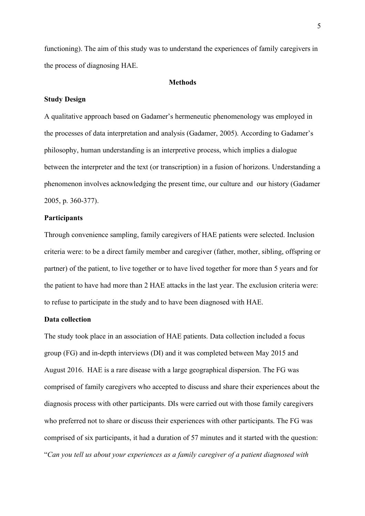functioning). The aim of this study was to understand the experiences of family caregivers in the process of diagnosing HAE.

### **Methods**

### **Study Design**

A qualitative approach based on Gadamer's hermeneutic phenomenology was employed in the processes of data interpretation and analysis (Gadamer, 2005). According to Gadamer's philosophy, human understanding is an interpretive process, which implies a dialogue between the interpreter and the text (or transcription) in a fusion of horizons. Understanding a phenomenon involves acknowledging the present time, our culture and our history (Gadamer 2005, p. 360-377).

### **Participants**

Through convenience sampling, family caregivers of HAE patients were selected. Inclusion criteria were: to be a direct family member and caregiver (father, mother, sibling, offspring or partner) of the patient, to live together or to have lived together for more than 5 years and for the patient to have had more than 2 HAE attacks in the last year. The exclusion criteria were: to refuse to participate in the study and to have been diagnosed with HAE.

# **Data collection**

The study took place in an association of HAE patients. Data collection included a focus group (FG) and in-depth interviews (DI) and it was completed between May 2015 and August 2016. HAE is a rare disease with a large geographical dispersion. The FG was comprised of family caregivers who accepted to discuss and share their experiences about the diagnosis process with other participants. DIs were carried out with those family caregivers who preferred not to share or discuss their experiences with other participants. The FG was comprised of six participants, it had a duration of 57 minutes and it started with the question: "*Can you tell us about your experiences as a family caregiver of a patient diagnosed with*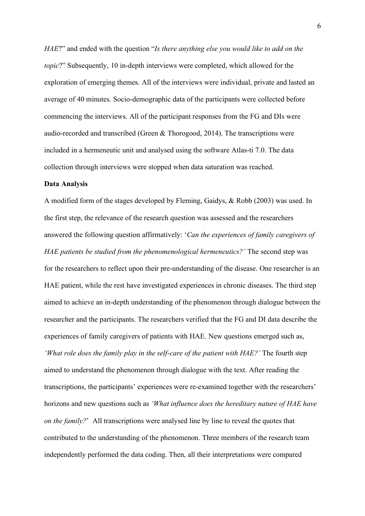*HAE*?" and ended with the question "*Is there anything else you would like to add on the topic*?" Subsequently, 10 in-depth interviews were completed, which allowed for the exploration of emerging themes. All of the interviews were individual, private and lasted an average of 40 minutes. Socio-demographic data of the participants were collected before commencing the interviews. All of the participant responses from the FG and DIs were audio-recorded and transcribed (Green & Thorogood, 2014). The transcriptions were included in a hermeneutic unit and analysed using the software Atlas-ti 7.0. The data collection through interviews were stopped when data saturation was reached.

# **Data Analysis**

A modified form of the stages developed by Fleming, Gaidys, & Robb (2003) was used. In the first step, the relevance of the research question was assessed and the researchers answered the following question affirmatively: '*Can the experiences of family caregivers of HAE patients be studied from the phenomenological hermeneutics?'* The second step was for the researchers to reflect upon their pre-understanding of the disease. One researcher is an HAE patient, while the rest have investigated experiences in chronic diseases. The third step aimed to achieve an in-depth understanding of the phenomenon through dialogue between the researcher and the participants. The researchers verified that the FG and DI data describe the experiences of family caregivers of patients with HAE. New questions emerged such as, *'What role does the family play in the self-care of the patient with HAE?'* The fourth step aimed to understand the phenomenon through dialogue with the text. After reading the transcriptions, the participants' experiences were re-examined together with the researchers' horizons and new questions such as *'What influence does the hereditary nature of HAE have on the family?*' All transcriptions were analysed line by line to reveal the quotes that contributed to the understanding of the phenomenon. Three members of the research team independently performed the data coding. Then, all their interpretations were compared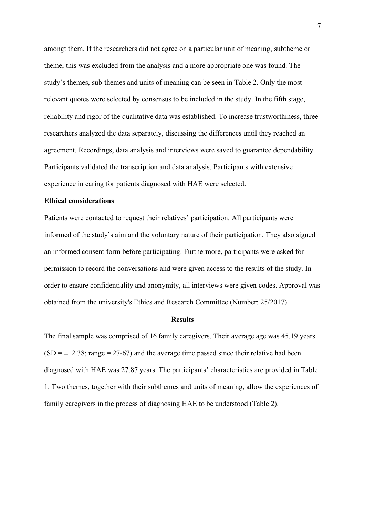amongt them. If the researchers did not agree on a particular unit of meaning, subtheme or theme, this was excluded from the analysis and a more appropriate one was found. The study's themes, sub-themes and units of meaning can be seen in Table 2. Only the most relevant quotes were selected by consensus to be included in the study. In the fifth stage, reliability and rigor of the qualitative data was established. To increase trustworthiness, three researchers analyzed the data separately, discussing the differences until they reached an agreement. Recordings, data analysis and interviews were saved to guarantee dependability. Participants validated the transcription and data analysis. Participants with extensive experience in caring for patients diagnosed with HAE were selected.

### **Ethical considerations**

Patients were contacted to request their relatives' participation. All participants were informed of the study's aim and the voluntary nature of their participation. They also signed an informed consent form before participating. Furthermore, participants were asked for permission to record the conversations and were given access to the results of the study. In order to ensure confidentiality and anonymity, all interviews were given codes. Approval was obtained from the university's Ethics and Research Committee (Number: 25/2017).

# **Results**

The final sample was comprised of 16 family caregivers. Their average age was 45.19 years  $(SD = \pm 12.38$ ; range = 27-67) and the average time passed since their relative had been diagnosed with HAE was 27.87 years. The participants' characteristics are provided in Table 1. Two themes, together with their subthemes and units of meaning, allow the experiences of family caregivers in the process of diagnosing HAE to be understood (Table 2).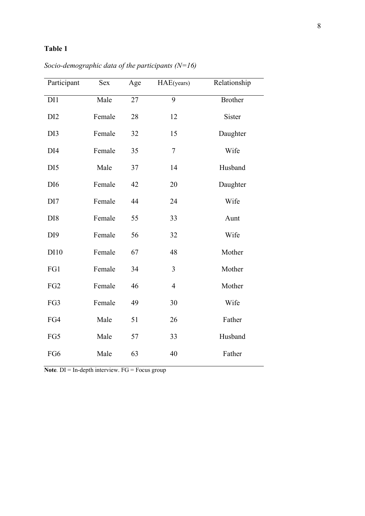# **Table 1**

| Participant     | <b>Sex</b> | Age | HAE(years)     | Relationship   |
|-----------------|------------|-----|----------------|----------------|
| DI1             | Male       | 27  | 9              | <b>Brother</b> |
| DI <sub>2</sub> | Female     | 28  | 12             | Sister         |
| DI3             | Female     | 32  | 15             | Daughter       |
| DI <sub>4</sub> | Female     | 35  | $\tau$         | Wife           |
| DI <sub>5</sub> | Male       | 37  | 14             | Husband        |
| DI <sub>6</sub> | Female     | 42  | 20             | Daughter       |
| DI <sub>7</sub> | Female     | 44  | 24             | Wife           |
| DI <sub>8</sub> | Female     | 55  | 33             | Aunt           |
| DI <sub>9</sub> | Female     | 56  | 32             | Wife           |
| DI10            | Female     | 67  | 48             | Mother         |
| FG1             | Female     | 34  | 3              | Mother         |
| FG <sub>2</sub> | Female     | 46  | $\overline{4}$ | Mother         |
| FG3             | Female     | 49  | 30             | Wife           |
| FG4             | Male       | 51  | 26             | Father         |
| FG5             | Male       | 57  | 33             | Husband        |
| FG6             | Male       | 63  | 40             | Father         |

*Socio-demographic data of the participants (N=16)*

**Note***.* DI = In-depth interview. FG = Focus group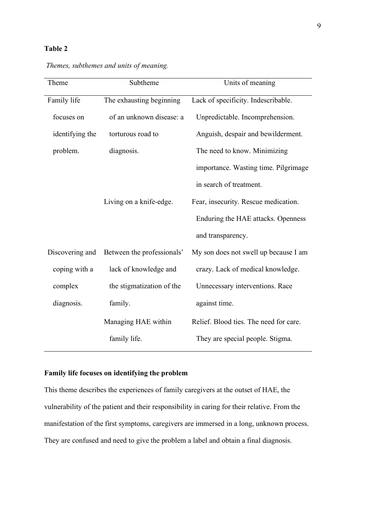# **Table 2**

| Theme           | Subtheme                   | Units of meaning                       |  |
|-----------------|----------------------------|----------------------------------------|--|
| Family life     | The exhausting beginning   | Lack of specificity. Indescribable.    |  |
| focuses on      | of an unknown disease: a   | Unpredictable. Incomprehension.        |  |
| identifying the | torturous road to          | Anguish, despair and bewilderment.     |  |
| problem.        | diagnosis.                 | The need to know. Minimizing           |  |
|                 |                            | importance. Wasting time. Pilgrimage   |  |
|                 |                            | in search of treatment.                |  |
|                 | Living on a knife-edge.    | Fear, insecurity. Rescue medication.   |  |
|                 |                            | Enduring the HAE attacks. Openness     |  |
|                 |                            | and transparency.                      |  |
| Discovering and | Between the professionals' | My son does not swell up because I am  |  |
| coping with a   | lack of knowledge and      | crazy. Lack of medical knowledge.      |  |
| complex         | the stigmatization of the  | Unnecessary interventions. Race        |  |
| diagnosis.      | family.                    | against time.                          |  |
|                 | Managing HAE within        | Relief. Blood ties. The need for care. |  |
|                 | family life.               | They are special people. Stigma.       |  |

*Themes, subthemes and units of meaning.*

# **Family life focuses on identifying the problem**

This theme describes the experiences of family caregivers at the outset of HAE, the vulnerability of the patient and their responsibility in caring for their relative. From the manifestation of the first symptoms, caregivers are immersed in a long, unknown process. They are confused and need to give the problem a label and obtain a final diagnosis.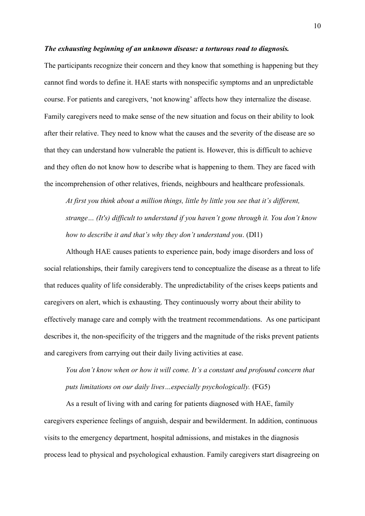### *The exhausting beginning of an unknown disease: a torturous road to diagnosis.*

The participants recognize their concern and they know that something is happening but they cannot find words to define it. HAE starts with nonspecific symptoms and an unpredictable course. For patients and caregivers, 'not knowing' affects how they internalize the disease. Family caregivers need to make sense of the new situation and focus on their ability to look after their relative. They need to know what the causes and the severity of the disease are so that they can understand how vulnerable the patient is. However, this is difficult to achieve and they often do not know how to describe what is happening to them. They are faced with the incomprehension of other relatives, friends, neighbours and healthcare professionals.

*At first you think about a million things, little by little you see that it's different, strange… (It's) difficult to understand if you haven't gone through it. You don't know how to describe it and that's why they don't understand you*. (DI1)

Although HAE causes patients to experience pain, body image disorders and loss of social relationships, their family caregivers tend to conceptualize the disease as a threat to life that reduces quality of life considerably. The unpredictability of the crises keeps patients and caregivers on alert, which is exhausting. They continuously worry about their ability to effectively manage care and comply with the treatment recommendations. As one participant describes it, the non-specificity of the triggers and the magnitude of the risks prevent patients and caregivers from carrying out their daily living activities at ease.

*You don't know when or how it will come. It's a constant and profound concern that puts limitations on our daily lives…especially psychologically.* (FG5)

As a result of living with and caring for patients diagnosed with HAE, family caregivers experience feelings of anguish, despair and bewilderment. In addition, continuous visits to the emergency department, hospital admissions, and mistakes in the diagnosis process lead to physical and psychological exhaustion. Family caregivers start disagreeing on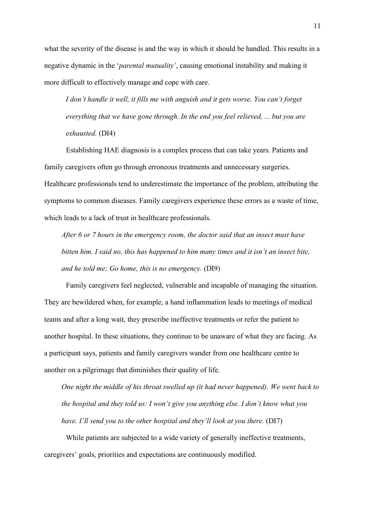what the severity of the disease is and the way in which it should be handled. This results in a negative dynamic in the '*parental mutuality'*, causing emotional instability and making it more difficult to effectively manage and cope with care.

*I don't handle it well, it fills me with anguish and it gets worse. You can't forget everything that we have gone through. In the end you feel relieved, ... but you are exhausted.* (DI4)

Establishing HAE diagnosis is a complex process that can take years. Patients and family caregivers often go through erroneous treatments and unnecessary surgeries. Healthcare professionals tend to underestimate the importance of the problem, attributing the symptoms to common diseases. Family caregivers experience these errors as a waste of time, which leads to a lack of trust in healthcare professionals.

*After 6 or 7 hours in the emergency room, the doctor said that an insect must have bitten him. I said no, this has happened to him many times and it isn't an insect bite, and he told me: Go home, this is no emergency.* (DI9)

Family caregivers feel neglected, vulnerable and incapable of managing the situation. They are bewildered when, for example, a hand inflammation leads to meetings of medical teams and after a long wait, they prescribe ineffective treatments or refer the patient to another hospital. In these situations, they continue to be unaware of what they are facing. As a participant says, patients and family caregivers wander from one healthcare centre to another on a pilgrimage that diminishes their quality of life.

*One night the middle of his throat swelled up (it had never happened). We went back to the hospital and they told us: I won't give you anything else. I don't know what you have. I'll send you to the other hospital and they'll look at you there.* (DI7)

While patients are subjected to a wide variety of generally ineffective treatments, caregivers' goals, priorities and expectations are continuously modified.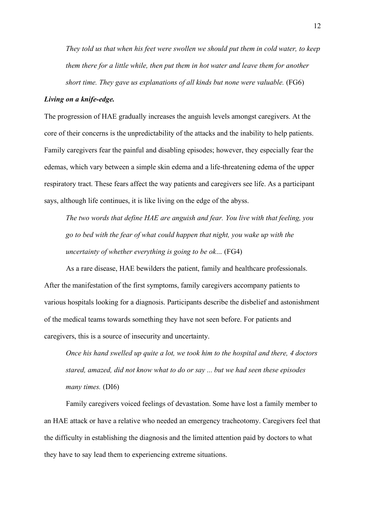*They told us that when his feet were swollen we should put them in cold water, to keep them there for a little while, then put them in hot water and leave them for another short time. They gave us explanations of all kinds but none were valuable.* (FG6)

### *Living on a knife-edge.*

The progression of HAE gradually increases the anguish levels amongst caregivers. At the core of their concerns is the unpredictability of the attacks and the inability to help patients. Family caregivers fear the painful and disabling episodes; however, they especially fear the edemas, which vary between a simple skin edema and a life-threatening edema of the upper respiratory tract. These fears affect the way patients and caregivers see life. As a participant says, although life continues, it is like living on the edge of the abyss.

*The two words that define HAE are anguish and fear. You live with that feeling, you go to bed with the fear of what could happen that night, you wake up with the uncertainty of whether everything is going to be ok…* (FG4)

As a rare disease, HAE bewilders the patient, family and healthcare professionals. After the manifestation of the first symptoms, family caregivers accompany patients to various hospitals looking for a diagnosis. Participants describe the disbelief and astonishment of the medical teams towards something they have not seen before. For patients and caregivers, this is a source of insecurity and uncertainty.

*Once his hand swelled up quite a lot, we took him to the hospital and there, 4 doctors stared, amazed, did not know what to do or say ... but we had seen these episodes many times.* (DI6)

Family caregivers voiced feelings of devastation. Some have lost a family member to an HAE attack or have a relative who needed an emergency tracheotomy. Caregivers feel that the difficulty in establishing the diagnosis and the limited attention paid by doctors to what they have to say lead them to experiencing extreme situations.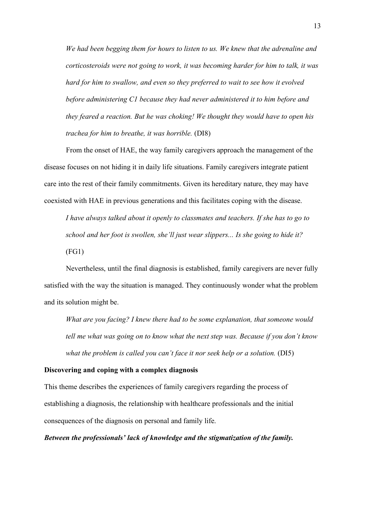*We had been begging them for hours to listen to us. We knew that the adrenaline and corticosteroids were not going to work, it was becoming harder for him to talk, it was hard for him to swallow, and even so they preferred to wait to see how it evolved before administering C1 because they had never administered it to him before and they feared a reaction. But he was choking! We thought they would have to open his trachea for him to breathe, it was horrible.* (DI8)

From the onset of HAE, the way family caregivers approach the management of the disease focuses on not hiding it in daily life situations. Family caregivers integrate patient care into the rest of their family commitments. Given its hereditary nature, they may have coexisted with HAE in previous generations and this facilitates coping with the disease.

*I have always talked about it openly to classmates and teachers. If she has to go to school and her foot is swollen, she'll just wear slippers... Is she going to hide it?*   $(FG1)$ 

Nevertheless, until the final diagnosis is established, family caregivers are never fully satisfied with the way the situation is managed. They continuously wonder what the problem and its solution might be.

*What are you facing? I knew there had to be some explanation, that someone would tell me what was going on to know what the next step was. Because if you don't know what the problem is called you can't face it nor seek help or a solution.* (DI5)

### **Discovering and coping with a complex diagnosis**

This theme describes the experiences of family caregivers regarding the process of establishing a diagnosis, the relationship with healthcare professionals and the initial consequences of the diagnosis on personal and family life.

*Between the professionals' lack of knowledge and the stigmatization of the family.*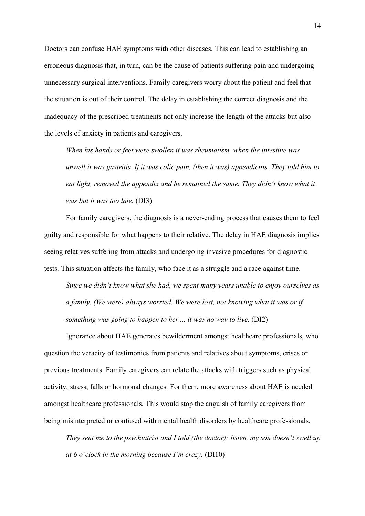Doctors can confuse HAE symptoms with other diseases. This can lead to establishing an erroneous diagnosis that, in turn, can be the cause of patients suffering pain and undergoing unnecessary surgical interventions. Family caregivers worry about the patient and feel that the situation is out of their control. The delay in establishing the correct diagnosis and the inadequacy of the prescribed treatments not only increase the length of the attacks but also the levels of anxiety in patients and caregivers.

*When his hands or feet were swollen it was rheumatism, when the intestine was unwell it was gastritis. If it was colic pain, (then it was) appendicitis. They told him to*  eat light, removed the appendix and he remained the same. They didn't know what it *was but it was too late.* (DI3)

For family caregivers, the diagnosis is a never-ending process that causes them to feel guilty and responsible for what happens to their relative. The delay in HAE diagnosis implies seeing relatives suffering from attacks and undergoing invasive procedures for diagnostic tests. This situation affects the family, who face it as a struggle and a race against time.

*Since we didn't know what she had, we spent many years unable to enjoy ourselves as a family. (We were) always worried. We were lost, not knowing what it was or if something was going to happen to her ... it was no way to live.* (DI2)

Ignorance about HAE generates bewilderment amongst healthcare professionals, who question the veracity of testimonies from patients and relatives about symptoms, crises or previous treatments. Family caregivers can relate the attacks with triggers such as physical activity, stress, falls or hormonal changes. For them, more awareness about HAE is needed amongst healthcare professionals. This would stop the anguish of family caregivers from being misinterpreted or confused with mental health disorders by healthcare professionals.

*They sent me to the psychiatrist and I told (the doctor): listen, my son doesn't swell up at 6 o'clock in the morning because I'm crazy.* (DI10)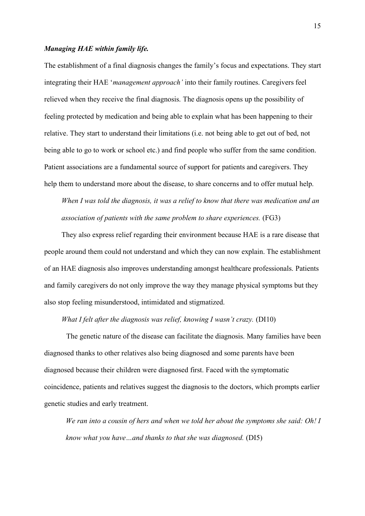### *Managing HAE within family life.*

The establishment of a final diagnosis changes the family's focus and expectations. They start integrating their HAE '*management approach'* into their family routines. Caregivers feel relieved when they receive the final diagnosis. The diagnosis opens up the possibility of feeling protected by medication and being able to explain what has been happening to their relative. They start to understand their limitations (i.e. not being able to get out of bed, not being able to go to work or school etc.) and find people who suffer from the same condition. Patient associations are a fundamental source of support for patients and caregivers. They help them to understand more about the disease, to share concerns and to offer mutual help.

*When I was told the diagnosis, it was a relief to know that there was medication and an association of patients with the same problem to share experiences.* (FG3)

They also express relief regarding their environment because HAE is a rare disease that people around them could not understand and which they can now explain. The establishment of an HAE diagnosis also improves understanding amongst healthcare professionals. Patients and family caregivers do not only improve the way they manage physical symptoms but they also stop feeling misunderstood, intimidated and stigmatized.

# *What I felt after the diagnosis was relief, knowing I wasn't crazy.* (DI10)

The genetic nature of the disease can facilitate the diagnosis. Many families have been diagnosed thanks to other relatives also being diagnosed and some parents have been diagnosed because their children were diagnosed first. Faced with the symptomatic coincidence, patients and relatives suggest the diagnosis to the doctors, which prompts earlier genetic studies and early treatment.

*We ran into a cousin of hers and when we told her about the symptoms she said: Oh! I know what you have…and thanks to that she was diagnosed.* (DI5)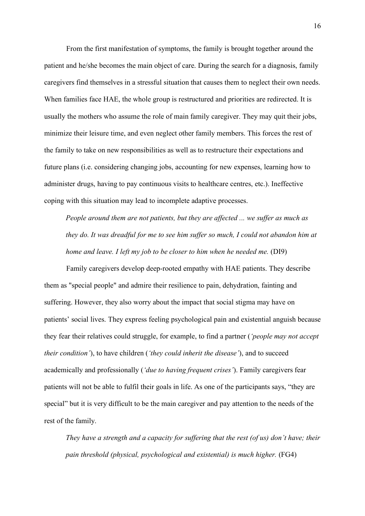From the first manifestation of symptoms, the family is brought together around the patient and he/she becomes the main object of care. During the search for a diagnosis, family caregivers find themselves in a stressful situation that causes them to neglect their own needs. When families face HAE, the whole group is restructured and priorities are redirected. It is usually the mothers who assume the role of main family caregiver. They may quit their jobs, minimize their leisure time, and even neglect other family members. This forces the rest of the family to take on new responsibilities as well as to restructure their expectations and future plans (i.e. considering changing jobs, accounting for new expenses, learning how to administer drugs, having to pay continuous visits to healthcare centres, etc.). Ineffective coping with this situation may lead to incomplete adaptive processes.

*People around them are not patients, but they are affected ... we suffer as much as they do. It was dreadful for me to see him suffer so much, I could not abandon him at home and leave. I left my job to be closer to him when he needed me.* (DI9)

Family caregivers develop deep-rooted empathy with HAE patients. They describe them as "special people" and admire their resilience to pain, dehydration, fainting and suffering. However, they also worry about the impact that social stigma may have on patients' social lives. They express feeling psychological pain and existential anguish because they fear their relatives could struggle, for example, to find a partner (*'people may not accept their condition'*), to have children (*'they could inherit the disease'*), and to succeed academically and professionally (*'due to having frequent crises'*). Family caregivers fear patients will not be able to fulfil their goals in life. As one of the participants says, "they are special" but it is very difficult to be the main caregiver and pay attention to the needs of the rest of the family.

*They have a strength and a capacity for suffering that the rest (of us) don't have; their pain threshold (physical, psychological and existential) is much higher.* (FG4)

16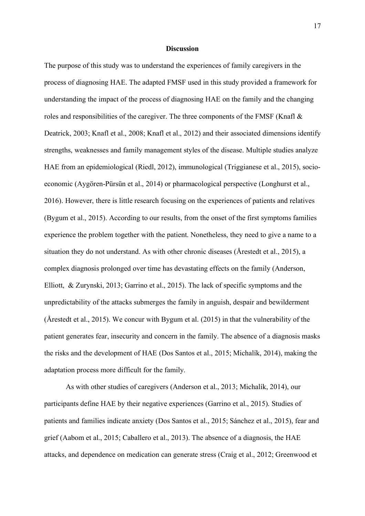### **Discussion**

The purpose of this study was to understand the experiences of family caregivers in the process of diagnosing HAE. The adapted FMSF used in this study provided a framework for understanding the impact of the process of diagnosing HAE on the family and the changing roles and responsibilities of the caregiver. The three components of the FMSF (Knafl & Deatrick, 2003; Knafl et al., 2008; Knafl et al., 2012) and their associated dimensions identify strengths, weaknesses and family management styles of the disease. Multiple studies analyze HAE from an epidemiological (Riedl, 2012), immunological (Triggianese et al., 2015), socioeconomic (Aygören-Pürsün et al., 2014) or pharmacological perspective (Longhurst et al., 2016). However, there is little research focusing on the experiences of patients and relatives (Bygum et al., 2015). According to our results, from the onset of the first symptoms families experience the problem together with the patient. Nonetheless, they need to give a name to a situation they do not understand. As with other chronic diseases (Årestedt et al., 2015), a complex diagnosis prolonged over time has devastating effects on the family (Anderson, Elliott, & Zurynski, 2013; Garrino et al., 2015). The lack of specific symptoms and the unpredictability of the attacks submerges the family in anguish, despair and bewilderment (Årestedt et al., 2015). We concur with Bygum et al. (2015) in that the vulnerability of the patient generates fear, insecurity and concern in the family. The absence of a diagnosis masks the risks and the development of HAE (Dos Santos et al., 2015; Michalík, 2014), making the adaptation process more difficult for the family.

As with other studies of caregivers (Anderson et al., 2013; Michalík, 2014), our participants define HAE by their negative experiences (Garrino et al., 2015). Studies of patients and families indicate anxiety (Dos Santos et al., 2015; Sánchez et al., 2015), fear and grief (Aabom et al., 2015; Caballero et al., 2013). The absence of a diagnosis, the HAE attacks, and dependence on medication can generate stress (Craig et al., 2012; Greenwood et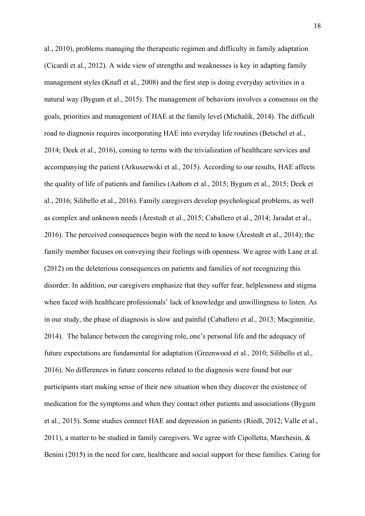al., 2010), problems managing the therapeutic regimen and difficulty in family adaptation (Cicardi et al., 2012). A wide view of strengths and weaknesses is key in adapting family management styles (Knafl et al., 2008) and the first step is doing everyday activities in a natural way (Bygum et al., 2015). The management of behaviors involves a consensus on the goals, priorities and management of HAE at the family level (Michalík, 2014). The difficult road to diagnosis requires incorporating HAE into everyday life routines (Betschel et al., 2014; Deek et al., 2016), coming to terms with the trivialization of healthcare services and accompanying the patient (Arkuszewski et al., 2015). According to our results, HAE affects the quality of life of patients and families (Aabom et al., 2015; Bygum et al., 2015; Deek et al., 2016; Silibello et al., 2016). Family caregivers develop psychological problems, as well as complex and unknown needs (Årestedt et al., 2015; Caballero et al., 2014; Jaradat et al., 2016). The perceived consequences begin with the need to know (Årestedt et al., 2014); the family member focuses on conveying their feelings with openness. We agree with Lane et al. (2012) on the deleterious consequences on patients and families of not recognizing this disorder. In addition, our caregivers emphasize that they suffer fear, helplessness and stigma when faced with healthcare professionals' lack of knowledge and unwillingness to listen. As in our study, the phase of diagnosis is slow and painful (Caballero et al., 2013; Macginnitie, 2014). The balance between the caregiving role, one's personal life and the adequacy of future expectations are fundamental for adaptation (Greenwood et al., 2010; Silibello et al., 2016). No differences in future concerns related to the diagnosis were found but our participants start making sense of their new situation when they discover the existence of medication for the symptoms and when they contact other patients and associations (Bygum et al., 2015). Some studies connect HAE and depression in patients (Riedl, 2012; Valle et al., 2011), a matter to be studied in family caregivers. We agree with Cipolletta, Marchesin,  $\&$ Benini (2015) in the need for care, healthcare and social support for these families. Caring for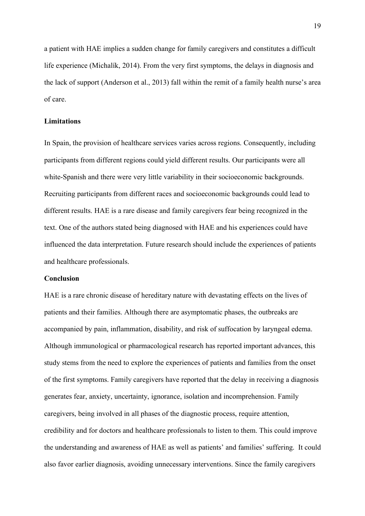a patient with HAE implies a sudden change for family caregivers and constitutes a difficult life experience (Michalík, 2014). From the very first symptoms, the delays in diagnosis and the lack of support (Anderson et al., 2013) fall within the remit of a family health nurse's area of care.

### **Limitations**

In Spain, the provision of healthcare services varies across regions. Consequently, including participants from different regions could yield different results. Our participants were all white-Spanish and there were very little variability in their socioeconomic backgrounds. Recruiting participants from different races and socioeconomic backgrounds could lead to different results. HAE is a rare disease and family caregivers fear being recognized in the text. One of the authors stated being diagnosed with HAE and his experiences could have influenced the data interpretation. Future research should include the experiences of patients and healthcare professionals.

### **Conclusion**

HAE is a rare chronic disease of hereditary nature with devastating effects on the lives of patients and their families. Although there are asymptomatic phases, the outbreaks are accompanied by pain, inflammation, disability, and risk of suffocation by laryngeal edema. Although immunological or pharmacological research has reported important advances, this study stems from the need to explore the experiences of patients and families from the onset of the first symptoms. Family caregivers have reported that the delay in receiving a diagnosis generates fear, anxiety, uncertainty, ignorance, isolation and incomprehension. Family caregivers, being involved in all phases of the diagnostic process, require attention, credibility and for doctors and healthcare professionals to listen to them. This could improve the understanding and awareness of HAE as well as patients' and families' suffering. It could also favor earlier diagnosis, avoiding unnecessary interventions. Since the family caregivers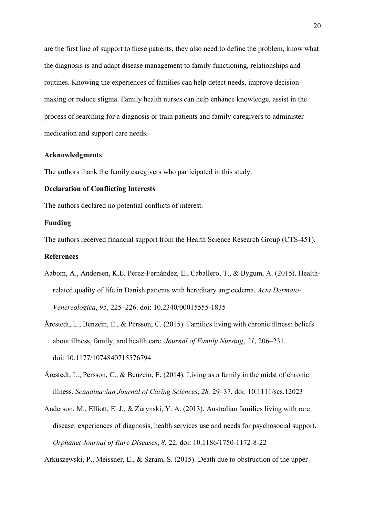are the first line of support to these patients, they also need to define the problem, know what the diagnosis is and adapt disease management to family functioning, relationships and routines. Knowing the experiences of families can help detect needs, improve decisionmaking or reduce stigma. Family health nurses can help enhance knowledge, assist in the process of searching for a diagnosis or train patients and family caregivers to administer medication and support care needs.

### **Acknowledgments**

The authors thank the family caregivers who participated in this study.

### **Declaration of Conflicting Interests**

The authors declared no potential conflicts of interest.

### **Funding**

The authors received financial support from the Health Science Research Group (CTS-451).

### **References**

- Aabom, A., Andersen, K.E, Perez-Fernández, E., Caballero, T., & Bygum, A. (2015). Healthrelated quality of life in Danish patients with hereditary angioedema. *Acta Dermato-Venereologica*, *95*, 225–226. doi: 10.2340/00015555-1835
- Årestedt, L., Benzein, E., & Persson, C. (2015). Families living with chronic illness: beliefs about illness, family, and health care. *Journal of Family Nursing*, *21*, 206–231. doi: 10.1177/1074840715576794
- Årestedt, L., Persson, C., & Benzein, E. (2014). Living as a family in the midst of chronic illness. *Scandinavian Journal of Caring Sciences*, *28,* 29–37. doi: 10.1111/scs.12023
- Anderson, M., Elliott, E. J., & Zurynski, Y. A. (2013). Australian families living with rare disease: experiences of diagnosis, health services use and needs for psychosocial support. *Orphanet Journal of Rare Diseases*, *8*, 22. doi: 10.1186/1750-1172-8-22

Arkuszewski, P., Meissner, E., & Szram, S. (2015). Death due to obstruction of the upper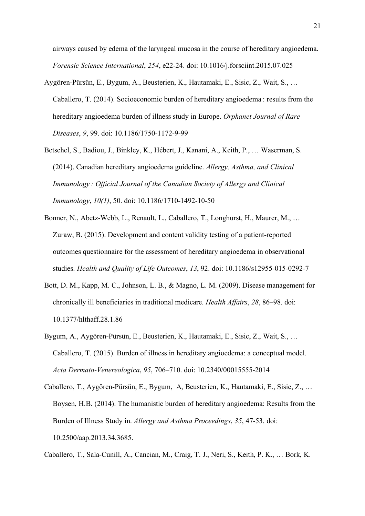airways caused by edema of the laryngeal mucosa in the course of hereditary angioedema. *Forensic Science International*, *254*, e22-24. doi: 10.1016/j.forsciint.2015.07.025

- Aygören-Pürsün, E., Bygum, A., Beusterien, K., Hautamaki, E., Sisic, Z., Wait, S., … Caballero, T. (2014). Socioeconomic burden of hereditary angioedema : results from the hereditary angioedema burden of illness study in Europe. *Orphanet Journal of Rare Diseases*, *9*, 99. doi: 10.1186/1750-1172-9-99
- Betschel, S., Badiou, J., Binkley, K., Hébert, J., Kanani, A., Keith, P., … Waserman, S. (2014). Canadian hereditary angioedema guideline. *Allergy, Asthma, and Clinical Immunology : Official Journal of the Canadian Society of Allergy and Clinical Immunology*, *10(1)*, 50. doi: 10.1186/1710-1492-10-50
- Bonner, N., Abetz-Webb, L., Renault, L., Caballero, T., Longhurst, H., Maurer, M., … Zuraw, B. (2015). Development and content validity testing of a patient-reported outcomes questionnaire for the assessment of hereditary angioedema in observational studies. *Health and Quality of Life Outcomes*, *13*, 92. doi: 10.1186/s12955-015-0292-7
- Bott, D. M., Kapp, M. C., Johnson, L. B., & Magno, L. M. (2009). Disease management for chronically ill beneficiaries in traditional medicare. *Health Affairs*, *28*, 86–98. doi: 10.1377/hlthaff.28.1.86
- Bygum, A., Aygören-Pürsün, E., Beusterien, K., Hautamaki, E., Sisic, Z., Wait, S., … Caballero, T. (2015). Burden of illness in hereditary angioedema: a conceptual model. *Acta Dermato-Venereologica*, *95*, 706–710. doi: 10.2340/00015555-2014
- Caballero, T., Aygören-Pürsün, E., Bygum, A, Beusterien, K., Hautamaki, E., Sisic, Z., … Boysen, H.B. (2014). The humanistic burden of hereditary angioedema: Results from the Burden of Illness Study in. *Allergy and Asthma Proceedings*, *35*, 47-53. doi: 10.2500/aap.2013.34.3685.

Caballero, T., Sala-Cunill, A., Cancian, M., Craig, T. J., Neri, S., Keith, P. K., … Bork, K.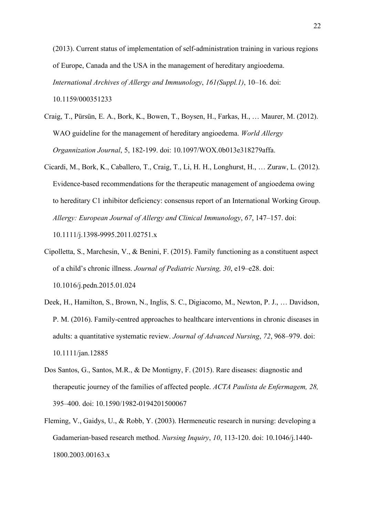(2013). Current status of implementation of self-administration training in various regions of Europe, Canada and the USA in the management of hereditary angioedema. *International Archives of Allergy and Immunology*, *161(Suppl.1)*, 10–16. doi: 10.1159/000351233

- Craig, T., Pürsün, E. A., Bork, K., Bowen, T., Boysen, H., Farkas, H., … Maurer, M. (2012). WAO guideline for the management of hereditary angioedema. *World Allergy Organnization Journal*, 5, 182-199. doi: 10.1097/WOX.0b013e318279affa.
- Cicardi, M., Bork, K., Caballero, T., Craig, T., Li, H. H., Longhurst, H., … Zuraw, L. (2012). Evidence-based recommendations for the therapeutic management of angioedema owing to hereditary C1 inhibitor deficiency: consensus report of an International Working Group. *Allergy: European Journal of Allergy and Clinical Immunology*, *67*, 147–157. doi: 10.1111/j.1398-9995.2011.02751.x
- Cipolletta, S., Marchesin, V., & Benini, F. (2015). Family functioning as a constituent aspect of a child's chronic illness. *Journal of Pediatric Nursing, 30*, e19–e28. doi: 10.1016/j.pedn.2015.01.024
- Deek, H., Hamilton, S., Brown, N., Inglis, S. C., Digiacomo, M., Newton, P. J., … Davidson, P. M. (2016). Family-centred approaches to healthcare interventions in chronic diseases in adults: a quantitative systematic review. *Journal of Advanced Nursing*, *72*, 968–979. doi: 10.1111/jan.12885
- Dos Santos, G., Santos, M.R., & De Montigny, F. (2015). Rare diseases: diagnostic and therapeutic journey of the families of affected people. *ACTA Paulista de Enfermagem, 28,* 395–400. doi: 10.1590/1982-0194201500067
- Fleming, V., Gaidys, U., & Robb, Y. (2003). Hermeneutic research in nursing: developing a Gadamerian-based research method. *Nursing Inquiry*, *10*, 113-120. doi: 10.1046/j.1440- 1800.2003.00163.x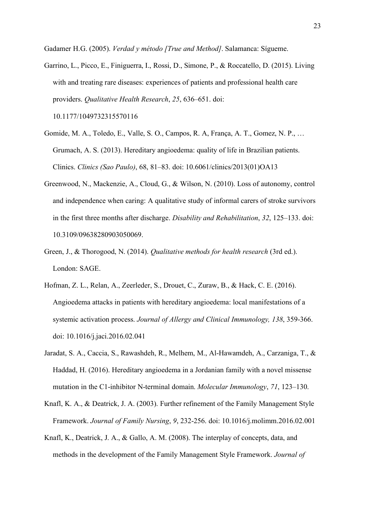Gadamer H.G. (2005). *Verdad y método [True and Method]*. Salamanca: Sígueme.

Garrino, L., Picco, E., Finiguerra, I., Rossi, D., Simone, P., & Roccatello, D. (2015). Living with and treating rare diseases: experiences of patients and professional health care providers. *Qualitative Health Research*, *25*, 636–651. doi:

10.1177/1049732315570116

- Gomide, M. A., Toledo, E., Valle, S. O., Campos, R. A, França, A. T., Gomez, N. P., … Grumach, A. S. (2013). Hereditary angioedema: quality of life in Brazilian patients. Clinics. *Clinics (Sao Paulo)*, 68, 81–83. doi: 10.6061/clinics/2013(01)OA13
- Greenwood, N., Mackenzie, A., Cloud, G., & Wilson, N. (2010). Loss of autonomy, control and independence when caring: A qualitative study of informal carers of stroke survivors in the first three months after discharge. *Disability and Rehabilitation*, *32*, 125–133. doi: 10.3109/09638280903050069.
- Green, J., & Thorogood, N. (2014). *Qualitative methods for health research* (3rd ed.). London: SAGE.
- Hofman, Z. L., Relan, A., Zeerleder, S., Drouet, C., Zuraw, B., & Hack, C. E. (2016). Angioedema attacks in patients with hereditary angioedema: local manifestations of a systemic activation process. *Journal of Allergy and Clinical Immunology, 138*, 359-366. doi: 10.1016/j.jaci.2016.02.041
- Jaradat, S. A., Caccia, S., Rawashdeh, R., Melhem, M., Al-Hawamdeh, A., Carzaniga, T., & Haddad, H. (2016). Hereditary angioedema in a Jordanian family with a novel missense mutation in the C1-inhibitor N-terminal domain. *Molecular Immunology*, *71*, 123–130.
- Knafl, K. A., & Deatrick, J. A. (2003). Further refinement of the Family Management Style Framework. *Journal of Family Nursing*, *9*, 232-256. doi: 10.1016/j.molimm.2016.02.001
- Knafl, K., Deatrick, J. A., & Gallo, A. M. (2008). The interplay of concepts, data, and methods in the development of the Family Management Style Framework. *Journal of*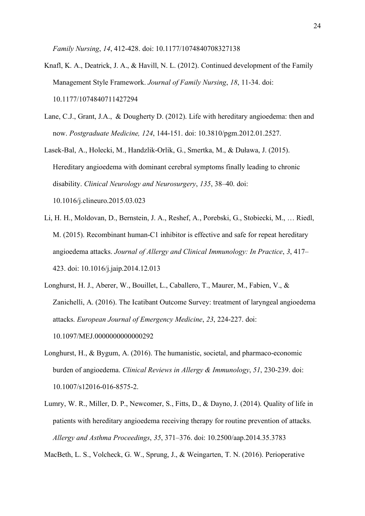*Family Nursing*, *14*, 412-428. doi: 10.1177/1074840708327138

- Knafl, K. A., Deatrick, J. A., & Havill, N. L. (2012). Continued development of the Family Management Style Framework. *Journal of Family Nursing*, *18*, 11-34. doi: 10.1177/1074840711427294
- Lane, C.J., Grant, J.A., & Dougherty D. (2012). Life with hereditary angioedema: then and now. *Postgraduate Medicine, 124*, 144-151. doi: 10.3810/pgm.2012.01.2527.
- Lasek-Bal, A., Holecki, M., Handzlik-Orlik, G., Smertka, M., & Duława, J. (2015). Hereditary angioedema with dominant cerebral symptoms finally leading to chronic disability. *Clinical Neurology and Neurosurgery*, *135*, 38–40. doi: 10.1016/j.clineuro.2015.03.023
- Li, H. H., Moldovan, D., Bernstein, J. A., Reshef, A., Porebski, G., Stobiecki, M., … Riedl, M. (2015). Recombinant human-C1 inhibitor is effective and safe for repeat hereditary angioedema attacks. *Journal of Allergy and Clinical Immunology: In Practice*, *3*, 417– 423. doi: 10.1016/j.jaip.2014.12.013
- Longhurst, H. J., Aberer, W., Bouillet, L., Caballero, T., Maurer, M., Fabien, V., & Zanichelli, A. (2016). The Icatibant Outcome Survey: treatment of laryngeal angioedema attacks. *European Journal of Emergency Medicine*, *23*, 224-227. doi: 10.1097/MEJ.0000000000000292
- Longhurst, H., & Bygum, A. (2016). The humanistic, societal, and pharmaco-economic burden of angioedema. *Clinical Reviews in Allergy & Immunology*, *51*, 230-239. doi: 10.1007/s12016-016-8575-2.
- Lumry, W. R., Miller, D. P., Newcomer, S., Fitts, D., & Dayno, J. (2014). Quality of life in patients with hereditary angioedema receiving therapy for routine prevention of attacks. *Allergy and Asthma Proceedings*, *35*, 371–376. doi: 10.2500/aap.2014.35.3783

MacBeth, L. S., Volcheck, G. W., Sprung, J., & Weingarten, T. N. (2016). Perioperative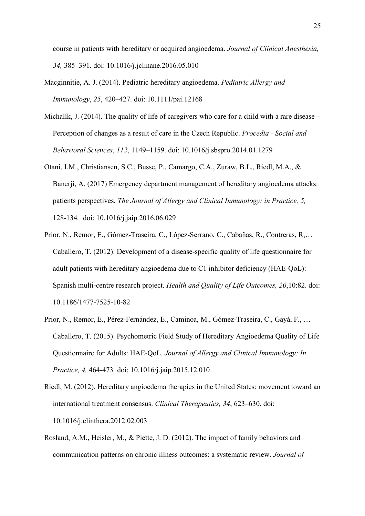course in patients with hereditary or acquired angioedema. *Journal of Clinical Anesthesia, 34,* 385–391. doi: 10.1016/j.jclinane.2016.05.010

- Macginnitie, A. J. (2014). Pediatric hereditary angioedema. *Pediatric Allergy and Immunology*, *25*, 420–427. doi: 10.1111/pai.12168
- Michalík, J. (2014). The quality of life of caregivers who care for a child with a rare disease Perception of changes as a result of care in the Czech Republic. *Procedia - Social and Behavioral Sciences*, *112*, 1149–1159. doi: 10.1016/j.sbspro.2014.01.1279
- Otani, I.M., Christiansen, S.C., Busse, P., Camargo, C.A., Zuraw, B.L., Riedl, M.A., & Banerji, A. (2017) Emergency department management of hereditary angioedema attacks: patients perspectives. *The Journal of Allergy and Clinical Inmunology: in Practice, 5,*  128-134*.* doi: 10.1016/j.jaip.2016.06.029
- Prior, N., Remor, E., Gómez-Traseira, C., López-Serrano, C., Cabañas, R., Contreras, R,… Caballero, T. (2012). Development of a disease-specific quality of life questionnaire for adult patients with hereditary angioedema due to C1 inhibitor deficiency (HAE-QoL): Spanish multi-centre research project. *Health and Quality of Life Outcomes, 20*,10:82. doi: 10.1186/1477-7525-10-82
- Prior, N., Remor, E., Pérez-Fernández, E., Caminoa, M., Gómez-Traseira, C., Gayá, F., … Caballero, T. (2015). Psychometric Field Study of Hereditary Angioedema Quality of Life Questionnaire for Adults: HAE-QoL. *Journal of Allergy and Clinical Immunology: In Practice, 4,* 464-473*.* doi: 10.1016/j.jaip.2015.12.010
- Riedl, M. (2012). Hereditary angioedema therapies in the United States: movement toward an international treatment consensus. *Clinical Therapeutics, 34*, 623–630. doi: 10.1016/j.clinthera.2012.02.003
- Rosland, A.M., Heisler, M., & Piette, J. D. (2012). The impact of family behaviors and communication patterns on chronic illness outcomes: a systematic review. *Journal of*